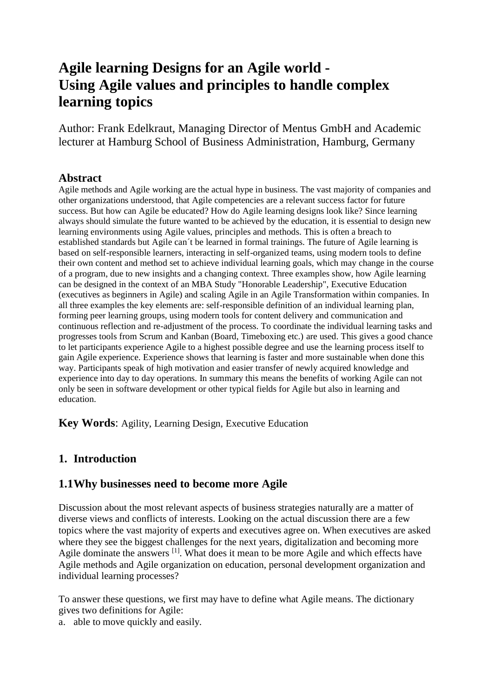# **Agile learning Designs for an Agile world - Using Agile values and principles to handle complex learning topics**

Author: Frank Edelkraut, Managing Director of Mentus GmbH and Academic lecturer at Hamburg School of Business Administration, Hamburg, Germany

#### **Abstract**

Agile methods and Agile working are the actual hype in business. The vast majority of companies and other organizations understood, that Agile competencies are a relevant success factor for future success. But how can Agile be educated? How do Agile learning designs look like? Since learning always should simulate the future wanted to be achieved by the education, it is essential to design new learning environments using Agile values, principles and methods. This is often a breach to established standards but Agile can´t be learned in formal trainings. The future of Agile learning is based on self-responsible learners, interacting in self-organized teams, using modern tools to define their own content and method set to achieve individual learning goals, which may change in the course of a program, due to new insights and a changing context. Three examples show, how Agile learning can be designed in the context of an MBA Study "Honorable Leadership", Executive Education (executives as beginners in Agile) and scaling Agile in an Agile Transformation within companies. In all three examples the key elements are: self-responsible definition of an individual learning plan, forming peer learning groups, using modern tools for content delivery and communication and continuous reflection and re-adjustment of the process. To coordinate the individual learning tasks and progresses tools from Scrum and Kanban (Board, Timeboxing etc.) are used. This gives a good chance to let participants experience Agile to a highest possible degree and use the learning process itself to gain Agile experience. Experience shows that learning is faster and more sustainable when done this way. Participants speak of high motivation and easier transfer of newly acquired knowledge and experience into day to day operations. In summary this means the benefits of working Agile can not only be seen in software development or other typical fields for Agile but also in learning and education.

**Key Words**: Agility, Learning Design, Executive Education

#### **1. Introduction**

#### **1.1Why businesses need to become more Agile**

Discussion about the most relevant aspects of business strategies naturally are a matter of diverse views and conflicts of interests. Looking on the actual discussion there are a few topics where the vast majority of experts and executives agree on. When executives are asked where they see the biggest challenges for the next years, digitalization and becoming more Agile dominate the answers<sup>[1]</sup>. What does it mean to be more Agile and which effects have Agile methods and Agile organization on education, personal development organization and individual learning processes?

To answer these questions, we first may have to define what Agile means. The dictionary gives two definitions for Agile:

a. able to move quickly and easily.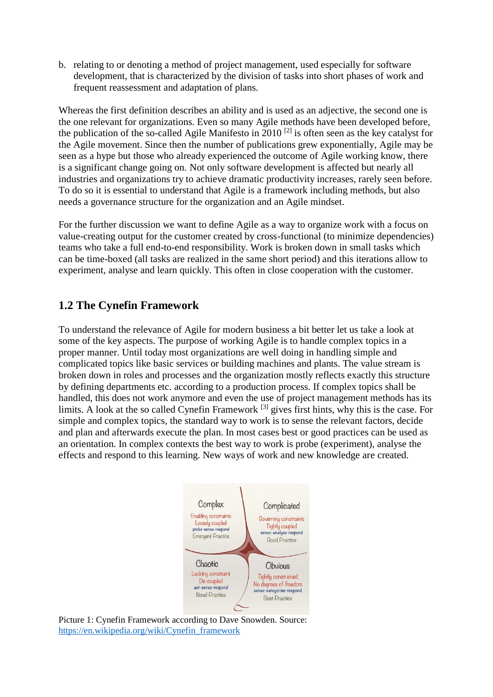b. relating to or denoting a method of project management, used especially for software development, that is characterized by the division of tasks into short phases of work and frequent reassessment and adaptation of plans.

Whereas the first definition describes an ability and is used as an adjective, the second one is the one relevant for organizations. Even so many Agile methods have been developed before, the publication of the so-called Agile Manifesto in 2010<sup>[2]</sup> is often seen as the key catalyst for the Agile movement. Since then the number of publications grew exponentially, Agile may be seen as a hype but those who already experienced the outcome of Agile working know, there is a significant change going on. Not only software development is affected but nearly all industries and organizations try to achieve dramatic productivity increases, rarely seen before. To do so it is essential to understand that Agile is a framework including methods, but also needs a governance structure for the organization and an Agile mindset.

For the further discussion we want to define Agile as a way to organize work with a focus on value-creating output for the customer created by cross-functional (to minimize dependencies) teams who take a full end-to-end responsibility. Work is broken down in small tasks which can be time-boxed (all tasks are realized in the same short period) and this iterations allow to experiment, analyse and learn quickly. This often in close cooperation with the customer.

# **1.2 The Cynefin Framework**

To understand the relevance of Agile for modern business a bit better let us take a look at some of the key aspects. The purpose of working Agile is to handle complex topics in a proper manner. Until today most organizations are well doing in handling simple and complicated topics like basic services or building machines and plants. The value stream is broken down in roles and processes and the organization mostly reflects exactly this structure by defining departments etc. according to a production process. If complex topics shall be handled, this does not work anymore and even the use of project management methods has its limits. A look at the so called Cynefin Framework <sup>[3]</sup> gives first hints, why this is the case. For simple and complex topics, the standard way to work is to sense the relevant factors, decide and plan and afterwards execute the plan. In most cases best or good practices can be used as an orientation. In complex contexts the best way to work is probe (experiment), analyse the effects and respond to this learning. New ways of work and new knowledge are created.



Picture 1: Cynefin Framework according to Dave Snowden. Source: [https://en.wikipedia.org/wiki/Cynefin\\_framework](https://en.wikipedia.org/wiki/Cynefin_framework)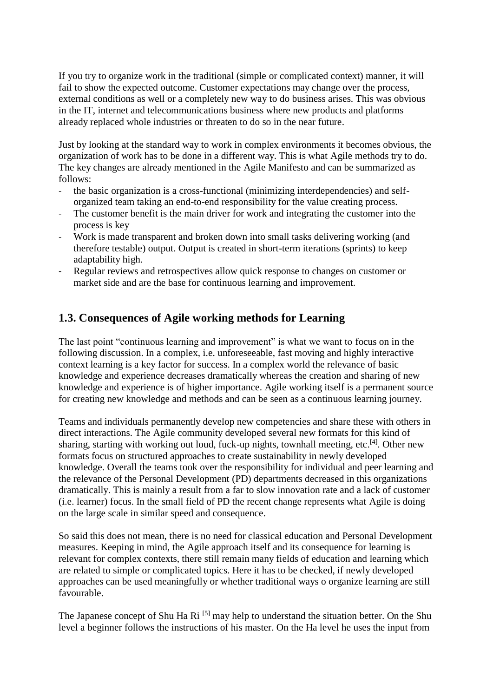If you try to organize work in the traditional (simple or complicated context) manner, it will fail to show the expected outcome. Customer expectations may change over the process, external conditions as well or a completely new way to do business arises. This was obvious in the IT, internet and telecommunications business where new products and platforms already replaced whole industries or threaten to do so in the near future.

Just by looking at the standard way to work in complex environments it becomes obvious, the organization of work has to be done in a different way. This is what Agile methods try to do. The key changes are already mentioned in the Agile Manifesto and can be summarized as follows:

- the basic organization is a cross-functional (minimizing interdependencies) and selforganized team taking an end-to-end responsibility for the value creating process.
- The customer benefit is the main driver for work and integrating the customer into the process is key
- Work is made transparent and broken down into small tasks delivering working (and therefore testable) output. Output is created in short-term iterations (sprints) to keep adaptability high.
- Regular reviews and retrospectives allow quick response to changes on customer or market side and are the base for continuous learning and improvement.

## **1.3. Consequences of Agile working methods for Learning**

The last point "continuous learning and improvement" is what we want to focus on in the following discussion. In a complex, i.e. unforeseeable, fast moving and highly interactive context learning is a key factor for success. In a complex world the relevance of basic knowledge and experience decreases dramatically whereas the creation and sharing of new knowledge and experience is of higher importance. Agile working itself is a permanent source for creating new knowledge and methods and can be seen as a continuous learning journey.

Teams and individuals permanently develop new competencies and share these with others in direct interactions. The Agile community developed several new formats for this kind of sharing, starting with working out loud, fuck-up nights, townhall meeting, etc.<sup>[4]</sup>. Other new formats focus on structured approaches to create sustainability in newly developed knowledge. Overall the teams took over the responsibility for individual and peer learning and the relevance of the Personal Development (PD) departments decreased in this organizations dramatically. This is mainly a result from a far to slow innovation rate and a lack of customer (i.e. learner) focus. In the small field of PD the recent change represents what Agile is doing on the large scale in similar speed and consequence.

So said this does not mean, there is no need for classical education and Personal Development measures. Keeping in mind, the Agile approach itself and its consequence for learning is relevant for complex contexts, there still remain many fields of education and learning which are related to simple or complicated topics. Here it has to be checked, if newly developed approaches can be used meaningfully or whether traditional ways o organize learning are still favourable.

The Japanese concept of Shu Ha Ri <sup>[5]</sup> may help to understand the situation better. On the Shu level a beginner follows the instructions of his master. On the Ha level he uses the input from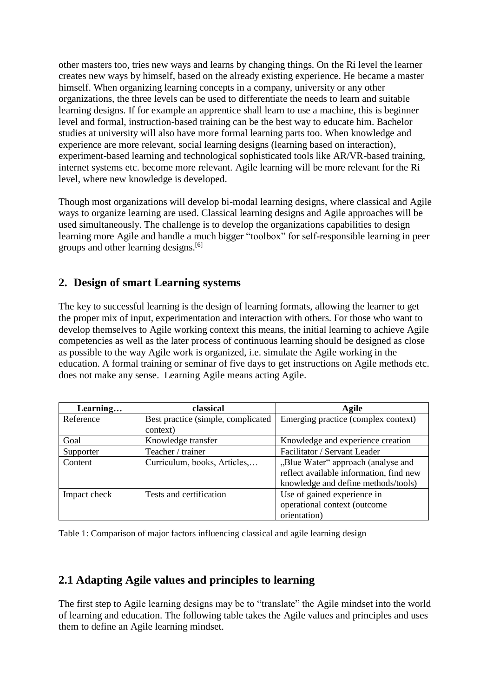other masters too, tries new ways and learns by changing things. On the Ri level the learner creates new ways by himself, based on the already existing experience. He became a master himself. When organizing learning concepts in a company, university or any other organizations, the three levels can be used to differentiate the needs to learn and suitable learning designs. If for example an apprentice shall learn to use a machine, this is beginner level and formal, instruction-based training can be the best way to educate him. Bachelor studies at university will also have more formal learning parts too. When knowledge and experience are more relevant, social learning designs (learning based on interaction), experiment-based learning and technological sophisticated tools like AR/VR-based training, internet systems etc. become more relevant. Agile learning will be more relevant for the Ri level, where new knowledge is developed.

Though most organizations will develop bi-modal learning designs, where classical and Agile ways to organize learning are used. Classical learning designs and Agile approaches will be used simultaneously. The challenge is to develop the organizations capabilities to design learning more Agile and handle a much bigger "toolbox" for self-responsible learning in peer groups and other learning designs. [6]

# **2. Design of smart Learning systems**

The key to successful learning is the design of learning formats, allowing the learner to get the proper mix of input, experimentation and interaction with others. For those who want to develop themselves to Agile working context this means, the initial learning to achieve Agile competencies as well as the later process of continuous learning should be designed as close as possible to the way Agile work is organized, i.e. simulate the Agile working in the education. A formal training or seminar of five days to get instructions on Agile methods etc. does not make any sense. Learning Agile means acting Agile.

| Learning     | classical                          | Agile                                   |  |  |
|--------------|------------------------------------|-----------------------------------------|--|--|
| Reference    | Best practice (simple, complicated | Emerging practice (complex context)     |  |  |
|              | context)                           |                                         |  |  |
| Goal         | Knowledge transfer                 | Knowledge and experience creation       |  |  |
| Supporter    | Teacher / trainer                  | Facilitator / Servant Leader            |  |  |
| Content      | Curriculum, books, Articles,       | "Blue Water" approach (analyse and      |  |  |
|              |                                    | reflect available information, find new |  |  |
|              |                                    | knowledge and define methods/tools)     |  |  |
| Impact check | Tests and certification            | Use of gained experience in             |  |  |
|              |                                    | operational context (outcome            |  |  |
|              |                                    | orientation)                            |  |  |

Table 1: Comparison of major factors influencing classical and agile learning design

## **2.1 Adapting Agile values and principles to learning**

The first step to Agile learning designs may be to "translate" the Agile mindset into the world of learning and education. The following table takes the Agile values and principles and uses them to define an Agile learning mindset.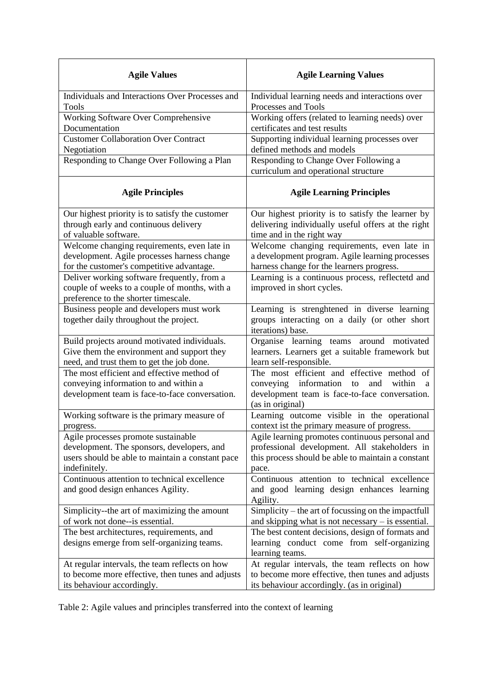| <b>Agile Values</b>                                                                                                                   | <b>Agile Learning Values</b>                                                                                                                                                |  |  |
|---------------------------------------------------------------------------------------------------------------------------------------|-----------------------------------------------------------------------------------------------------------------------------------------------------------------------------|--|--|
| Individuals and Interactions Over Processes and                                                                                       | Individual learning needs and interactions over                                                                                                                             |  |  |
| <b>Tools</b>                                                                                                                          | Processes and Tools                                                                                                                                                         |  |  |
| Working Software Over Comprehensive                                                                                                   | Working offers (related to learning needs) over                                                                                                                             |  |  |
| Documentation                                                                                                                         | certificates and test results                                                                                                                                               |  |  |
| <b>Customer Collaboration Over Contract</b>                                                                                           | Supporting individual learning processes over                                                                                                                               |  |  |
| Negotiation                                                                                                                           | defined methods and models                                                                                                                                                  |  |  |
| Responding to Change Over Following a Plan                                                                                            | Responding to Change Over Following a<br>curriculum and operational structure                                                                                               |  |  |
| <b>Agile Principles</b>                                                                                                               | <b>Agile Learning Principles</b>                                                                                                                                            |  |  |
| Our highest priority is to satisfy the customer                                                                                       | Our highest priority is to satisfy the learner by                                                                                                                           |  |  |
| through early and continuous delivery                                                                                                 | delivering individually useful offers at the right                                                                                                                          |  |  |
| of valuable software.                                                                                                                 | time and in the right way                                                                                                                                                   |  |  |
| Welcome changing requirements, even late in                                                                                           | Welcome changing requirements, even late in                                                                                                                                 |  |  |
| development. Agile processes harness change                                                                                           | a development program. Agile learning processes                                                                                                                             |  |  |
| for the customer's competitive advantage.                                                                                             | harness change for the learners progress.                                                                                                                                   |  |  |
| Deliver working software frequently, from a<br>couple of weeks to a couple of months, with a<br>preference to the shorter timescale.  | Learning is a continuous process, reflectetd and<br>improved in short cycles.                                                                                               |  |  |
| Business people and developers must work<br>together daily throughout the project.                                                    | Learning is strenghtened in diverse learning<br>groups interacting on a daily (or other short<br>iterations) base.                                                          |  |  |
| Build projects around motivated individuals.                                                                                          | Organise learning teams around motivated                                                                                                                                    |  |  |
| Give them the environment and support they                                                                                            | learners. Learners get a suitable framework but                                                                                                                             |  |  |
| need, and trust them to get the job done.                                                                                             | learn self-responsible.                                                                                                                                                     |  |  |
| The most efficient and effective method of<br>conveying information to and within a<br>development team is face-to-face conversation. | The most efficient and effective method<br>of<br>information<br>conveying<br>and<br>within<br>to<br>a<br>development team is face-to-face conversation.<br>(as in original) |  |  |
| Working software is the primary measure of                                                                                            | Learning outcome visible in the operational                                                                                                                                 |  |  |
| progress.                                                                                                                             | context ist the primary measure of progress.                                                                                                                                |  |  |
| Agile processes promote sustainable                                                                                                   | Agile learning promotes continuous personal and                                                                                                                             |  |  |
| development. The sponsors, developers, and                                                                                            | professional development. All stakeholders in                                                                                                                               |  |  |
| users should be able to maintain a constant pace                                                                                      | this process should be able to maintain a constant                                                                                                                          |  |  |
| indefinitely.                                                                                                                         | pace.                                                                                                                                                                       |  |  |
| Continuous attention to technical excellence<br>and good design enhances Agility.                                                     | Continuous attention to technical excellence<br>and good learning design enhances learning<br>Agility.                                                                      |  |  |
| Simplicity--the art of maximizing the amount                                                                                          | Simplicity – the art of focussing on the impactfull                                                                                                                         |  |  |
| of work not done--is essential.                                                                                                       | and skipping what is not necessary $-$ is essential.                                                                                                                        |  |  |
| The best architectures, requirements, and<br>designs emerge from self-organizing teams.                                               | The best content decisions, design of formats and<br>learning conduct come from self-organizing<br>learning teams.                                                          |  |  |
| At regular intervals, the team reflects on how                                                                                        | At regular intervals, the team reflects on how                                                                                                                              |  |  |
| to become more effective, then tunes and adjusts                                                                                      | to become more effective, then tunes and adjusts                                                                                                                            |  |  |
| its behaviour accordingly.                                                                                                            | its behaviour accordingly. (as in original)                                                                                                                                 |  |  |

Table 2: Agile values and principles transferred into the context of learning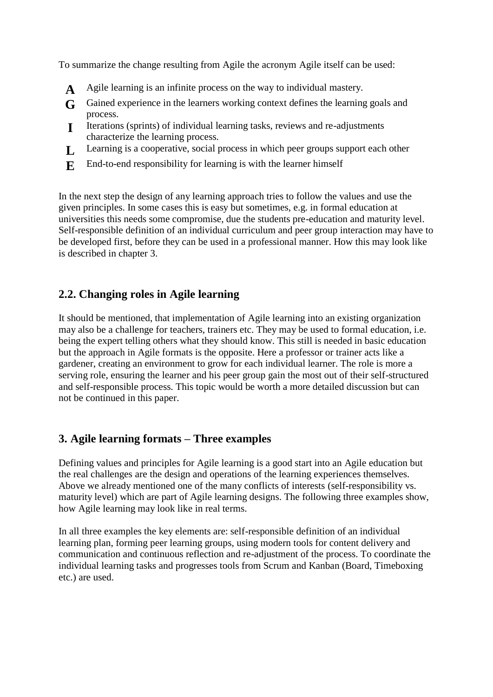To summarize the change resulting from Agile the acronym Agile itself can be used:

- **A** Agile learning is an infinite process on the way to individual mastery.
- **G** Gained experience in the learners working context defines the learning goals and process.
- **I** Iterations (sprints) of individual learning tasks, reviews and re-adjustments characterize the learning process.
- **L** Learning is a cooperative, social process in which peer groups support each other
- **E** End-to-end responsibility for learning is with the learner himself

In the next step the design of any learning approach tries to follow the values and use the given principles. In some cases this is easy but sometimes, e.g. in formal education at universities this needs some compromise, due the students pre-education and maturity level. Self-responsible definition of an individual curriculum and peer group interaction may have to be developed first, before they can be used in a professional manner. How this may look like is described in chapter 3.

# **2.2. Changing roles in Agile learning**

It should be mentioned, that implementation of Agile learning into an existing organization may also be a challenge for teachers, trainers etc. They may be used to formal education, i.e. being the expert telling others what they should know. This still is needed in basic education but the approach in Agile formats is the opposite. Here a professor or trainer acts like a gardener, creating an environment to grow for each individual learner. The role is more a serving role, ensuring the learner and his peer group gain the most out of their self-structured and self-responsible process. This topic would be worth a more detailed discussion but can not be continued in this paper.

# **3. Agile learning formats – Three examples**

Defining values and principles for Agile learning is a good start into an Agile education but the real challenges are the design and operations of the learning experiences themselves. Above we already mentioned one of the many conflicts of interests (self-responsibility vs. maturity level) which are part of Agile learning designs. The following three examples show, how Agile learning may look like in real terms.

In all three examples the key elements are: self-responsible definition of an individual learning plan, forming peer learning groups, using modern tools for content delivery and communication and continuous reflection and re-adjustment of the process. To coordinate the individual learning tasks and progresses tools from Scrum and Kanban (Board, Timeboxing etc.) are used.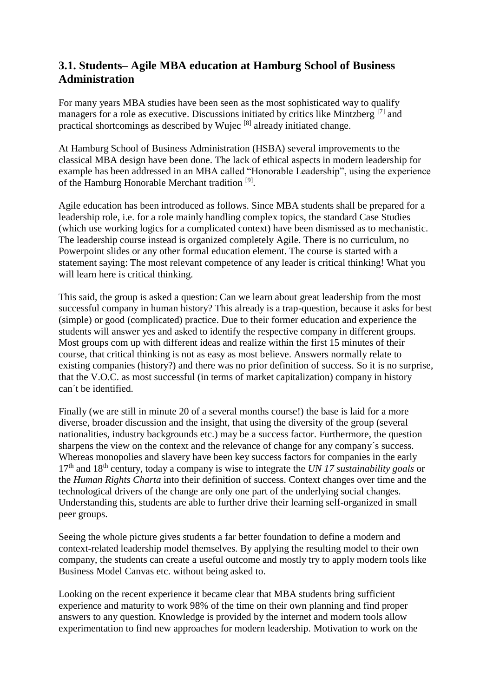## **3.1. Students– Agile MBA education at Hamburg School of Business Administration**

For many years MBA studies have been seen as the most sophisticated way to qualify managers for a role as executive. Discussions initiated by critics like Mintzberg<sup>[7]</sup> and practical shortcomings as described by Wujec [8] already initiated change.

At Hamburg School of Business Administration (HSBA) several improvements to the classical MBA design have been done. The lack of ethical aspects in modern leadership for example has been addressed in an MBA called "Honorable Leadership", using the experience of the Hamburg Honorable Merchant tradition<sup>[9]</sup>.

Agile education has been introduced as follows. Since MBA students shall be prepared for a leadership role, i.e. for a role mainly handling complex topics, the standard Case Studies (which use working logics for a complicated context) have been dismissed as to mechanistic. The leadership course instead is organized completely Agile. There is no curriculum, no Powerpoint slides or any other formal education element. The course is started with a statement saying: The most relevant competence of any leader is critical thinking! What you will learn here is critical thinking.

This said, the group is asked a question: Can we learn about great leadership from the most successful company in human history? This already is a trap-question, because it asks for best (simple) or good (complicated) practice. Due to their former education and experience the students will answer yes and asked to identify the respective company in different groups. Most groups com up with different ideas and realize within the first 15 minutes of their course, that critical thinking is not as easy as most believe. Answers normally relate to existing companies (history?) and there was no prior definition of success. So it is no surprise, that the V.O.C. as most successful (in terms of market capitalization) company in history can´t be identified.

Finally (we are still in minute 20 of a several months course!) the base is laid for a more diverse, broader discussion and the insight, that using the diversity of the group (several nationalities, industry backgrounds etc.) may be a success factor. Furthermore, the question sharpens the view on the context and the relevance of change for any company´s success. Whereas monopolies and slavery have been key success factors for companies in the early 17th and 18th century, today a company is wise to integrate the *UN 17 sustainability goals* or the *Human Rights Charta* into their definition of success. Context changes over time and the technological drivers of the change are only one part of the underlying social changes. Understanding this, students are able to further drive their learning self-organized in small peer groups.

Seeing the whole picture gives students a far better foundation to define a modern and context-related leadership model themselves. By applying the resulting model to their own company, the students can create a useful outcome and mostly try to apply modern tools like Business Model Canvas etc. without being asked to.

Looking on the recent experience it became clear that MBA students bring sufficient experience and maturity to work 98% of the time on their own planning and find proper answers to any question. Knowledge is provided by the internet and modern tools allow experimentation to find new approaches for modern leadership. Motivation to work on the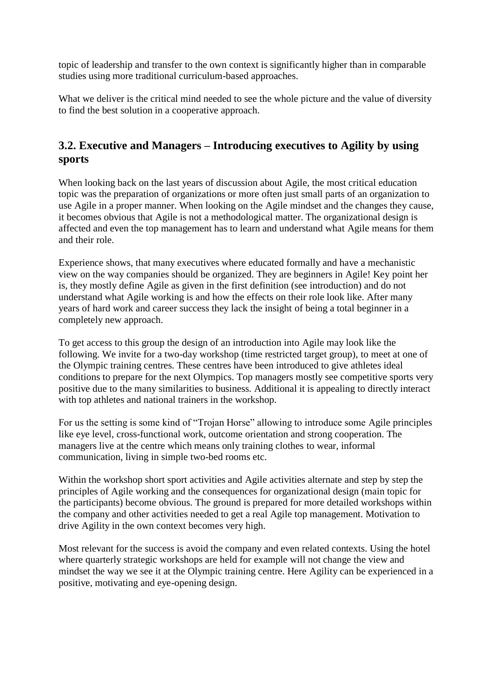topic of leadership and transfer to the own context is significantly higher than in comparable studies using more traditional curriculum-based approaches.

What we deliver is the critical mind needed to see the whole picture and the value of diversity to find the best solution in a cooperative approach.

## **3.2. Executive and Managers – Introducing executives to Agility by using sports**

When looking back on the last years of discussion about Agile, the most critical education topic was the preparation of organizations or more often just small parts of an organization to use Agile in a proper manner. When looking on the Agile mindset and the changes they cause, it becomes obvious that Agile is not a methodological matter. The organizational design is affected and even the top management has to learn and understand what Agile means for them and their role.

Experience shows, that many executives where educated formally and have a mechanistic view on the way companies should be organized. They are beginners in Agile! Key point her is, they mostly define Agile as given in the first definition (see introduction) and do not understand what Agile working is and how the effects on their role look like. After many years of hard work and career success they lack the insight of being a total beginner in a completely new approach.

To get access to this group the design of an introduction into Agile may look like the following. We invite for a two-day workshop (time restricted target group), to meet at one of the Olympic training centres. These centres have been introduced to give athletes ideal conditions to prepare for the next Olympics. Top managers mostly see competitive sports very positive due to the many similarities to business. Additional it is appealing to directly interact with top athletes and national trainers in the workshop.

For us the setting is some kind of "Trojan Horse" allowing to introduce some Agile principles like eye level, cross-functional work, outcome orientation and strong cooperation. The managers live at the centre which means only training clothes to wear, informal communication, living in simple two-bed rooms etc.

Within the workshop short sport activities and Agile activities alternate and step by step the principles of Agile working and the consequences for organizational design (main topic for the participants) become obvious. The ground is prepared for more detailed workshops within the company and other activities needed to get a real Agile top management. Motivation to drive Agility in the own context becomes very high.

Most relevant for the success is avoid the company and even related contexts. Using the hotel where quarterly strategic workshops are held for example will not change the view and mindset the way we see it at the Olympic training centre. Here Agility can be experienced in a positive, motivating and eye-opening design.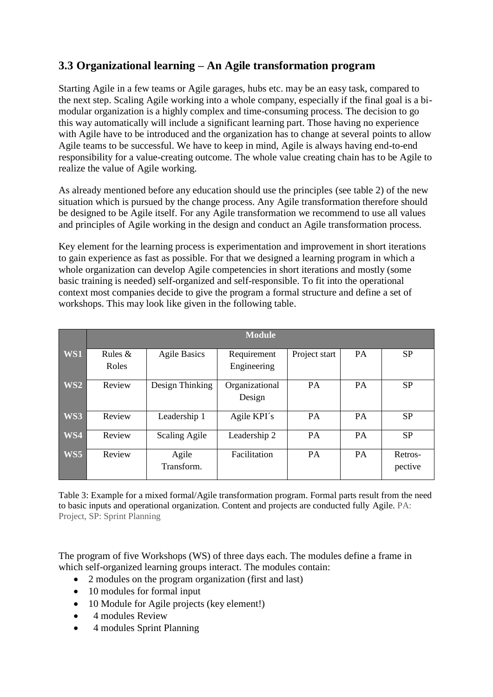# **3.3 Organizational learning – An Agile transformation program**

Starting Agile in a few teams or Agile garages, hubs etc. may be an easy task, compared to the next step. Scaling Agile working into a whole company, especially if the final goal is a bimodular organization is a highly complex and time-consuming process. The decision to go this way automatically will include a significant learning part. Those having no experience with Agile have to be introduced and the organization has to change at several points to allow Agile teams to be successful. We have to keep in mind, Agile is always having end-to-end responsibility for a value-creating outcome. The whole value creating chain has to be Agile to realize the value of Agile working.

As already mentioned before any education should use the principles (see table 2) of the new situation which is pursued by the change process. Any Agile transformation therefore should be designed to be Agile itself. For any Agile transformation we recommend to use all values and principles of Agile working in the design and conduct an Agile transformation process.

Key element for the learning process is experimentation and improvement in short iterations to gain experience as fast as possible. For that we designed a learning program in which a whole organization can develop Agile competencies in short iterations and mostly (some basic training is needed) self-organized and self-responsible. To fit into the operational context most companies decide to give the program a formal structure and define a set of workshops. This may look like given in the following table.

|                 | <b>Module</b>      |                     |                            |               |           |                    |  |  |
|-----------------|--------------------|---------------------|----------------------------|---------------|-----------|--------------------|--|--|
| WS1             | Rules $&$<br>Roles | <b>Agile Basics</b> | Requirement<br>Engineering | Project start | PA        | <b>SP</b>          |  |  |
| WS <sub>2</sub> | Review             | Design Thinking     | Organizational<br>Design   | PA            | <b>PA</b> | <b>SP</b>          |  |  |
| WS3             | Review             | Leadership 1        | Agile KPI's                | <b>PA</b>     | <b>PA</b> | <b>SP</b>          |  |  |
| WS4             | Review             | Scaling Agile       | Leadership 2               | <b>PA</b>     | <b>PA</b> | <b>SP</b>          |  |  |
| WS5             | Review             | Agile<br>Transform. | Facilitation               | <b>PA</b>     | <b>PA</b> | Retros-<br>pective |  |  |

Table 3: Example for a mixed formal/Agile transformation program. Formal parts result from the need to basic inputs and operational organization. Content and projects are conducted fully Agile. PA: Project, SP: Sprint Planning

The program of five Workshops (WS) of three days each. The modules define a frame in which self-organized learning groups interact. The modules contain:

- 2 modules on the program organization (first and last)
- 10 modules for formal input
- 10 Module for Agile projects (key element!)
- 4 modules Review
- 4 modules Sprint Planning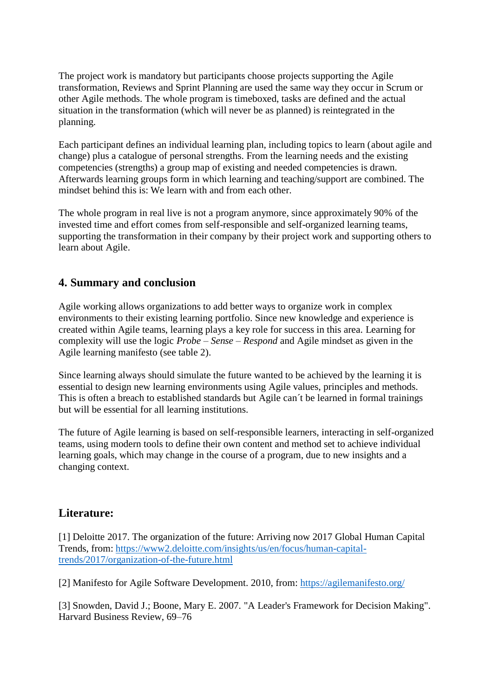The project work is mandatory but participants choose projects supporting the Agile transformation, Reviews and Sprint Planning are used the same way they occur in Scrum or other Agile methods. The whole program is timeboxed, tasks are defined and the actual situation in the transformation (which will never be as planned) is reintegrated in the planning.

Each participant defines an individual learning plan, including topics to learn (about agile and change) plus a catalogue of personal strengths. From the learning needs and the existing competencies (strengths) a group map of existing and needed competencies is drawn. Afterwards learning groups form in which learning and teaching/support are combined. The mindset behind this is: We learn with and from each other.

The whole program in real live is not a program anymore, since approximately 90% of the invested time and effort comes from self-responsible and self-organized learning teams, supporting the transformation in their company by their project work and supporting others to learn about Agile.

#### **4. Summary and conclusion**

Agile working allows organizations to add better ways to organize work in complex environments to their existing learning portfolio. Since new knowledge and experience is created within Agile teams, learning plays a key role for success in this area. Learning for complexity will use the logic *Probe – Sense – Respond* and Agile mindset as given in the Agile learning manifesto (see table 2).

Since learning always should simulate the future wanted to be achieved by the learning it is essential to design new learning environments using Agile values, principles and methods. This is often a breach to established standards but Agile can´t be learned in formal trainings but will be essential for all learning institutions.

The future of Agile learning is based on self-responsible learners, interacting in self-organized teams, using modern tools to define their own content and method set to achieve individual learning goals, which may change in the course of a program, due to new insights and a changing context.

## **Literature:**

[1] Deloitte 2017. The organization of the future: Arriving now 2017 Global Human Capital Trends, from: [https://www2.deloitte.com/insights/us/en/focus/human-capital](https://www2.deloitte.com/insights/us/en/focus/human-capital-trends/2017/organization-of-the-future.html)[trends/2017/organization-of-the-future.html](https://www2.deloitte.com/insights/us/en/focus/human-capital-trends/2017/organization-of-the-future.html)

[2] Manifesto for Agile Software Development. 2010, from:<https://agilemanifesto.org/>

[3] Snowden, David J.; Boone, Mary E. 2007. ["A Leader's Framework for Decision Making".](https://hbr.org/2007/11/a-leaders-framework-for-decision-making) Harvard Business Review, 69–76